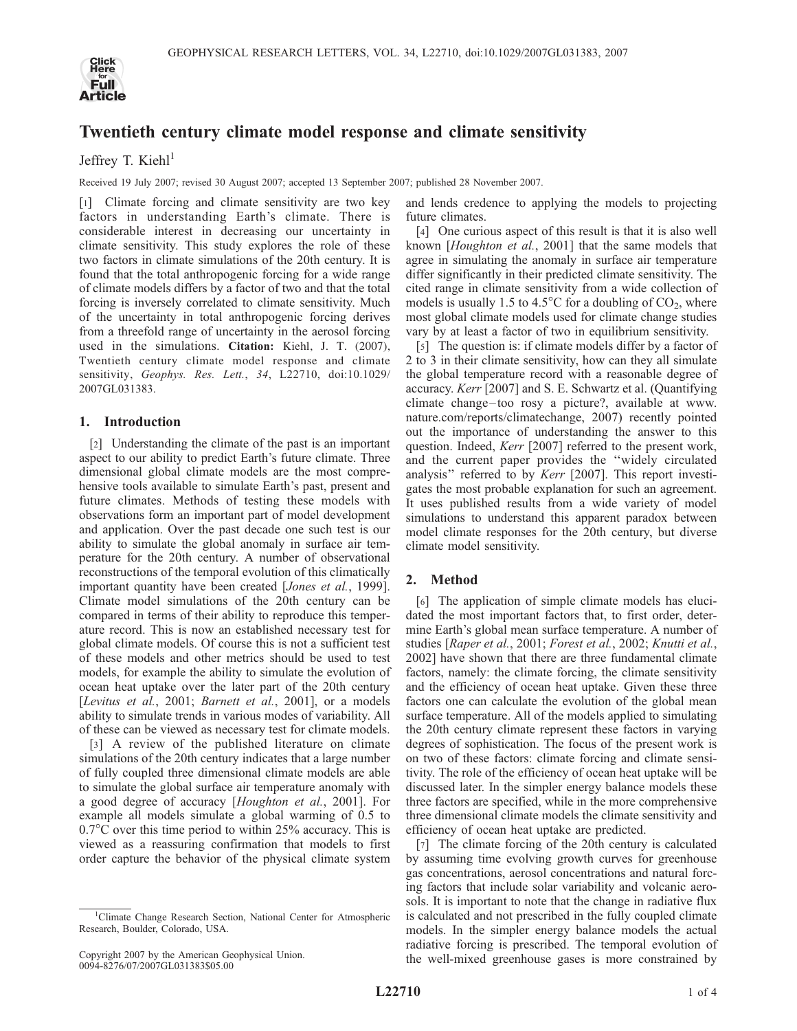

# Twentieth century climate model response and climate sensitivity

Jeffrey T. Kieh $l<sup>1</sup>$ 

Received 19 July 2007; revised 30 August 2007; accepted 13 September 2007; published 28 November 2007.

[1] Climate forcing and climate sensitivity are two key factors in understanding Earth's climate. There is considerable interest in decreasing our uncertainty in climate sensitivity. This study explores the role of these two factors in climate simulations of the 20th century. It is found that the total anthropogenic forcing for a wide range of climate models differs by a factor of two and that the total forcing is inversely correlated to climate sensitivity. Much of the uncertainty in total anthropogenic forcing derives from a threefold range of uncertainty in the aerosol forcing used in the simulations. Citation: Kiehl, J. T. (2007), Twentieth century climate model response and climate sensitivity, Geophys. Res. Lett., 34, L22710, doi:10.1029/ 2007GL031383.

## 1. Introduction

[2] Understanding the climate of the past is an important aspect to our ability to predict Earth's future climate. Three dimensional global climate models are the most comprehensive tools available to simulate Earth's past, present and future climates. Methods of testing these models with observations form an important part of model development and application. Over the past decade one such test is our ability to simulate the global anomaly in surface air temperature for the 20th century. A number of observational reconstructions of the temporal evolution of this climatically important quantity have been created [Jones et al., 1999]. Climate model simulations of the 20th century can be compared in terms of their ability to reproduce this temperature record. This is now an established necessary test for global climate models. Of course this is not a sufficient test of these models and other metrics should be used to test models, for example the ability to simulate the evolution of ocean heat uptake over the later part of the 20th century [Levitus et al., 2001; Barnett et al., 2001], or a models ability to simulate trends in various modes of variability. All of these can be viewed as necessary test for climate models.

[3] A review of the published literature on climate simulations of the 20th century indicates that a large number of fully coupled three dimensional climate models are able to simulate the global surface air temperature anomaly with a good degree of accuracy [Houghton et al., 2001]. For example all models simulate a global warming of 0.5 to  $0.7^{\circ}$ C over this time period to within 25% accuracy. This is viewed as a reassuring confirmation that models to first order capture the behavior of the physical climate system

and lends credence to applying the models to projecting future climates.

[4] One curious aspect of this result is that it is also well known [Houghton et al., 2001] that the same models that agree in simulating the anomaly in surface air temperature differ significantly in their predicted climate sensitivity. The cited range in climate sensitivity from a wide collection of models is usually 1.5 to 4.5 $^{\circ}$ C for a doubling of CO<sub>2</sub>, where most global climate models used for climate change studies vary by at least a factor of two in equilibrium sensitivity.

[5] The question is: if climate models differ by a factor of 2 to 3 in their climate sensitivity, how can they all simulate the global temperature record with a reasonable degree of accuracy. Kerr [2007] and S. E. Schwartz et al. (Quantifying climate change-too rosy a picture?, available at www. nature.com/reports/climatechange, 2007) recently pointed out the importance of understanding the answer to this question. Indeed, Kerr [2007] referred to the present work, and the current paper provides the ''widely circulated analysis'' referred to by Kerr [2007]. This report investigates the most probable explanation for such an agreement. It uses published results from a wide variety of model simulations to understand this apparent paradox between model climate responses for the 20th century, but diverse climate model sensitivity.

# 2. Method

[6] The application of simple climate models has elucidated the most important factors that, to first order, determine Earth's global mean surface temperature. A number of studies [Raper et al., 2001; Forest et al., 2002; Knutti et al., 2002] have shown that there are three fundamental climate factors, namely: the climate forcing, the climate sensitivity and the efficiency of ocean heat uptake. Given these three factors one can calculate the evolution of the global mean surface temperature. All of the models applied to simulating the 20th century climate represent these factors in varying degrees of sophistication. The focus of the present work is on two of these factors: climate forcing and climate sensitivity. The role of the efficiency of ocean heat uptake will be discussed later. In the simpler energy balance models these three factors are specified, while in the more comprehensive three dimensional climate models the climate sensitivity and efficiency of ocean heat uptake are predicted.

[7] The climate forcing of the 20th century is calculated by assuming time evolving growth curves for greenhouse gas concentrations, aerosol concentrations and natural forcing factors that include solar variability and volcanic aerosols. It is important to note that the change in radiative flux is calculated and not prescribed in the fully coupled climate models. In the simpler energy balance models the actual radiative forcing is prescribed. The temporal evolution of the well-mixed greenhouse gases is more constrained by

<sup>&</sup>lt;sup>1</sup>Climate Change Research Section, National Center for Atmospheric Research, Boulder, Colorado, USA.

Copyright 2007 by the American Geophysical Union. 0094-8276/07/2007GL031383\$05.00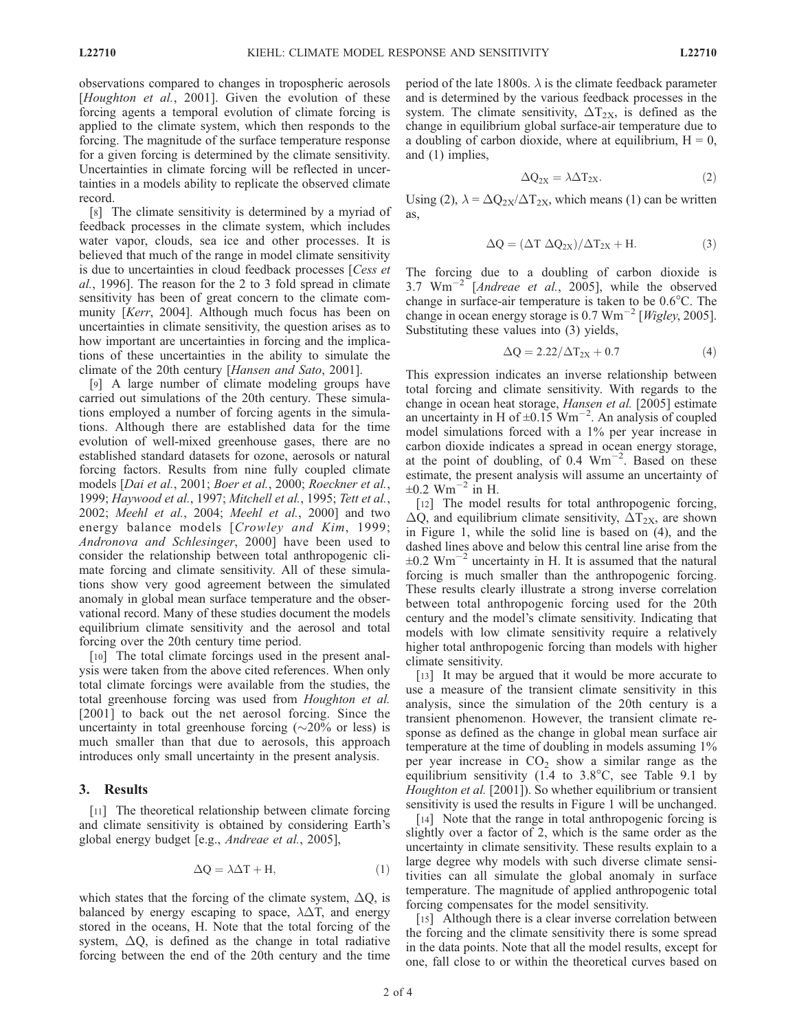observations compared to changes in tropospheric aerosols [Houghton et al., 2001]. Given the evolution of these forcing agents a temporal evolution of climate forcing is applied to the climate system, which then responds to the forcing. The magnitude of the surface temperature response for a given forcing is determined by the climate sensitivity. Uncertainties in climate forcing will be reflected in uncertainties in a models ability to replicate the observed climate record.

[8] The climate sensitivity is determined by a myriad of feedback processes in the climate system, which includes water vapor, clouds, sea ice and other processes. It is believed that much of the range in model climate sensitivity is due to uncertainties in cloud feedback processes [Cess et al., 1996]. The reason for the 2 to 3 fold spread in climate sensitivity has been of great concern to the climate community [Kerr, 2004]. Although much focus has been on uncertainties in climate sensitivity, the question arises as to how important are uncertainties in forcing and the implications of these uncertainties in the ability to simulate the climate of the 20th century [Hansen and Sato, 2001].

[9] A large number of climate modeling groups have carried out simulations of the 20th century. These simulations employed a number of forcing agents in the simulations. Although there are established data for the time evolution of well-mixed greenhouse gases, there are no established standard datasets for ozone, aerosols or natural forcing factors. Results from nine fully coupled climate models [Dai et al., 2001; Boer et al., 2000; Roeckner et al., 1999; Haywood et al., 1997; Mitchell et al., 1995; Tett et al., 2002; Meehl et al., 2004; Meehl et al., 2000] and two energy balance models [Crowley and Kim, 1999; Andronova and Schlesinger, 2000] have been used to consider the relationship between total anthropogenic climate forcing and climate sensitivity. All of these simulations show very good agreement between the simulated anomaly in global mean surface temperature and the observational record. Many of these studies document the models equilibrium climate sensitivity and the aerosol and total forcing over the 20th century time period.

[10] The total climate forcings used in the present analysis were taken from the above cited references. When only total climate forcings were available from the studies, the total greenhouse forcing was used from Houghton et al. [2001] to back out the net aerosol forcing. Since the uncertainty in total greenhouse forcing  $(\sim 20\%$  or less) is much smaller than that due to aerosols, this approach introduces only small uncertainty in the present analysis.

#### 3. Results

[11] The theoretical relationship between climate forcing and climate sensitivity is obtained by considering Earth's global energy budget [e.g., Andreae et al., 2005],

$$
\Delta Q = \lambda \Delta T + H,\tag{1}
$$

which states that the forcing of the climate system,  $\Delta Q$ , is balanced by energy escaping to space,  $\lambda\Delta T$ , and energy stored in the oceans, H. Note that the total forcing of the system,  $\Delta$ O, is defined as the change in total radiative forcing between the end of the 20th century and the time period of the late 1800s.  $\lambda$  is the climate feedback parameter and is determined by the various feedback processes in the system. The climate sensitivity,  $\Delta T_{2X}$ , is defined as the change in equilibrium global surface-air temperature due to a doubling of carbon dioxide, where at equilibrium,  $H = 0$ , and (1) implies,

$$
\Delta Q_{2X} = \lambda \Delta T_{2X}.
$$
 (2)

Using (2),  $\lambda = \Delta Q_{2X}/\Delta T_{2X}$ , which means (1) can be written as,

$$
\Delta Q = (\Delta T \ \Delta Q_{2X}) / \Delta T_{2X} + H. \tag{3}
$$

The forcing due to a doubling of carbon dioxide is 3.7  $Wm^{-2}$  [*Andreae et al.*, 2005], while the observed change in surface-air temperature is taken to be  $0.6^{\circ}$ C. The change in ocean energy storage is 0.7  $Wm^{-2}$  [*Wigley*, 2005]. Substituting these values into (3) yields,

$$
\Delta Q = 2.22/\Delta T_{2X} + 0.7\tag{4}
$$

This expression indicates an inverse relationship between total forcing and climate sensitivity. With regards to the change in ocean heat storage, Hansen et al. [2005] estimate an uncertainty in H of  $\pm 0.15$  Wm<sup>-2</sup>. An analysis of coupled model simulations forced with a 1% per year increase in carbon dioxide indicates a spread in ocean energy storage, at the point of doubling, of  $0.4 \text{ Wm}^{-2}$ . Based on these estimate, the present analysis will assume an uncertainty of  $\pm 0.2$  Wm<sup>-2</sup> in H.

[12] The model results for total anthropogenic forcing,  $\Delta Q$ , and equilibrium climate sensitivity,  $\Delta T_{2X}$ , are shown in Figure 1, while the solid line is based on (4), and the dashed lines above and below this central line arise from the  $\pm 0.2$  Wm<sup>-2</sup> uncertainty in H. It is assumed that the natural forcing is much smaller than the anthropogenic forcing. These results clearly illustrate a strong inverse correlation between total anthropogenic forcing used for the 20th century and the model's climate sensitivity. Indicating that models with low climate sensitivity require a relatively higher total anthropogenic forcing than models with higher climate sensitivity.

[13] It may be argued that it would be more accurate to use a measure of the transient climate sensitivity in this analysis, since the simulation of the 20th century is a transient phenomenon. However, the transient climate response as defined as the change in global mean surface air temperature at the time of doubling in models assuming 1% per year increase in  $CO<sub>2</sub>$  show a similar range as the equilibrium sensitivity  $(1.4 \text{ to } 3.8^{\circ}\text{C})$ , see Table 9.1 by Houghton et al. [2001]). So whether equilibrium or transient sensitivity is used the results in Figure 1 will be unchanged.

[14] Note that the range in total anthropogenic forcing is slightly over a factor of 2, which is the same order as the uncertainty in climate sensitivity. These results explain to a large degree why models with such diverse climate sensitivities can all simulate the global anomaly in surface temperature. The magnitude of applied anthropogenic total forcing compensates for the model sensitivity.

[15] Although there is a clear inverse correlation between the forcing and the climate sensitivity there is some spread in the data points. Note that all the model results, except for one, fall close to or within the theoretical curves based on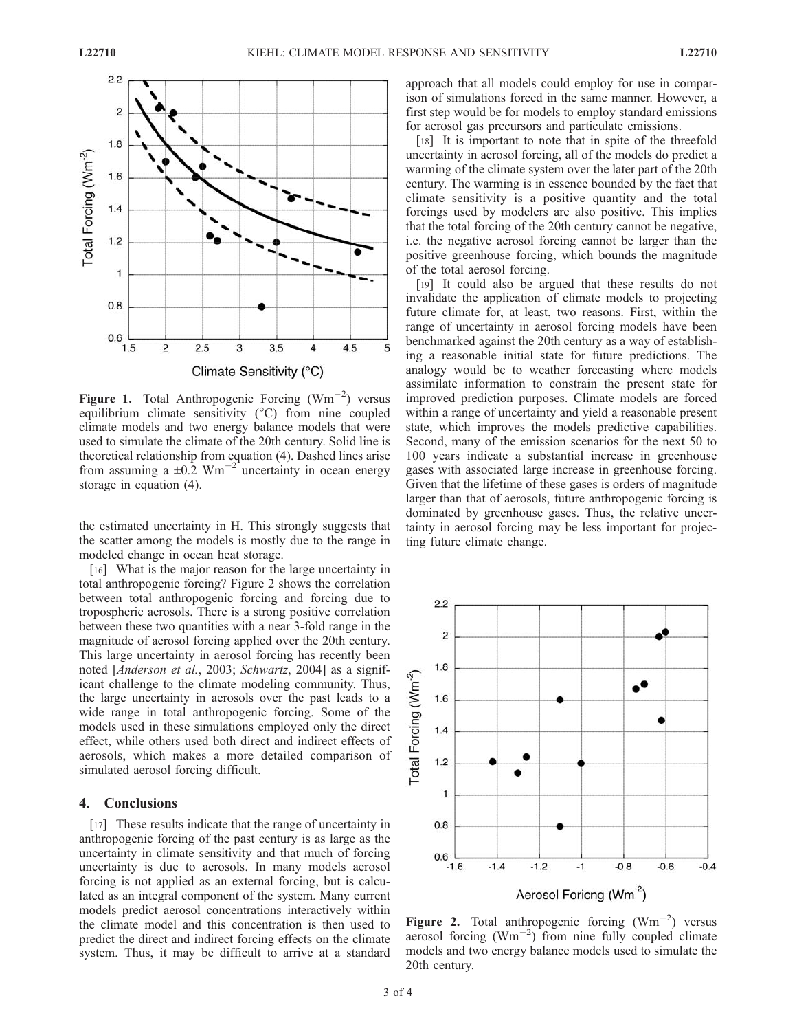

Figure 1. Total Anthropogenic Forcing  $(Wm^{-2})$  versus equilibrium climate sensitivity  $(^{\circ}C)$  from nine coupled climate models and two energy balance models that were used to simulate the climate of the 20th century. Solid line is theoretical relationship from equation (4). Dashed lines arise from assuming a  $\pm 0.2$  Wm<sup>-2</sup> uncertainty in ocean energy storage in equation (4).

the estimated uncertainty in H. This strongly suggests that the scatter among the models is mostly due to the range in modeled change in ocean heat storage.

[16] What is the major reason for the large uncertainty in total anthropogenic forcing? Figure 2 shows the correlation between total anthropogenic forcing and forcing due to tropospheric aerosols. There is a strong positive correlation between these two quantities with a near 3-fold range in the magnitude of aerosol forcing applied over the 20th century. This large uncertainty in aerosol forcing has recently been noted [*Anderson et al., 2003; Schwartz, 2004*] as a significant challenge to the climate modeling community. Thus, the large uncertainty in aerosols over the past leads to a wide range in total anthropogenic forcing. Some of the models used in these simulations employed only the direct effect, while others used both direct and indirect effects of aerosols, which makes a more detailed comparison of simulated aerosol forcing difficult.

### 4. Conclusions

[17] These results indicate that the range of uncertainty in anthropogenic forcing of the past century is as large as the uncertainty in climate sensitivity and that much of forcing uncertainty is due to aerosols. In many models aerosol forcing is not applied as an external forcing, but is calculated as an integral component of the system. Many current models predict aerosol concentrations interactively within the climate model and this concentration is then used to predict the direct and indirect forcing effects on the climate system. Thus, it may be difficult to arrive at a standard approach that all models could employ for use in comparison of simulations forced in the same manner. However, a first step would be for models to employ standard emissions for aerosol gas precursors and particulate emissions.

[18] It is important to note that in spite of the threefold uncertainty in aerosol forcing, all of the models do predict a warming of the climate system over the later part of the 20th century. The warming is in essence bounded by the fact that climate sensitivity is a positive quantity and the total forcings used by modelers are also positive. This implies that the total forcing of the 20th century cannot be negative, i.e. the negative aerosol forcing cannot be larger than the positive greenhouse forcing, which bounds the magnitude of the total aerosol forcing.

[19] It could also be argued that these results do not invalidate the application of climate models to projecting future climate for, at least, two reasons. First, within the range of uncertainty in aerosol forcing models have been benchmarked against the 20th century as a way of establishing a reasonable initial state for future predictions. The analogy would be to weather forecasting where models assimilate information to constrain the present state for improved prediction purposes. Climate models are forced within a range of uncertainty and yield a reasonable present state, which improves the models predictive capabilities. Second, many of the emission scenarios for the next 50 to 100 years indicate a substantial increase in greenhouse gases with associated large increase in greenhouse forcing. Given that the lifetime of these gases is orders of magnitude larger than that of aerosols, future anthropogenic forcing is dominated by greenhouse gases. Thus, the relative uncertainty in aerosol forcing may be less important for projecting future climate change.



Figure 2. Total anthropogenic forcing  $(Wm^{-2})$  versus aerosol forcing  $(Wm^{-2})$  from nine fully coupled climate models and two energy balance models used to simulate the 20th century.